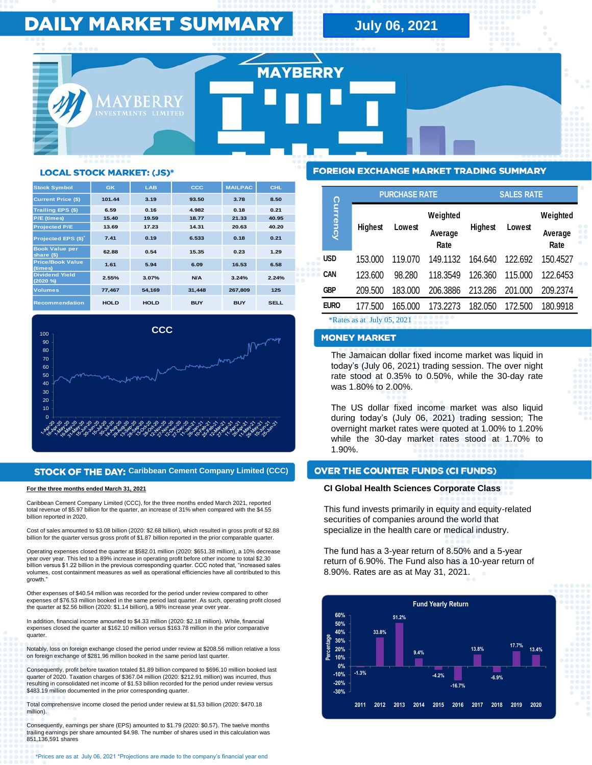# **DAILY MARKET SUMMARY**

**July 06, 2021** 

**MAYBERRY** 

# **LOCAL STOCK MARKET: (JS)\***

| <b>Stock Symbol</b>                 | GK          | <b>LAB</b>  | CCC        | <b>MAILPAC</b> | <b>CHL</b>  |
|-------------------------------------|-------------|-------------|------------|----------------|-------------|
| <b>Current Price (\$)</b>           | 101.44      | 3.19        | 93.50      | 3.78           | 8.50        |
| <b>Trailing EPS (\$)</b>            | 6.59        | 0.16        | 4.982      | 0.18           | 0.21        |
| P/E (times)                         | 15.40       | 19.59       | 18.77      | 21.33          | 40.95       |
| <b>Projected P/E</b>                | 13.69       | 17.23       | 14.31      | 20.63          | 40.20       |
| Projected EPS (\$)                  | 7.41        | 0.19        | 6.533      | 0.18           | 0.21        |
| <b>Book Value per</b><br>share (\$) | 62.88       | 0.54        | 15.35      | 0.23           | 1.29        |
| <b>Price/Book Value</b><br>(times)  | 1.61        | 5.94        | 6.09       | 16.53          | 6.58        |
| <b>Dividend Yield</b><br>(2020 %    | 2.55%       | 3.07%       | N/A        | 3.24%          | 2.24%       |
| <b>Volumes</b>                      | 77.467      | 54.169      | 31,448     | 267,809        | 125         |
| <b>Recommendation</b>               | <b>HOLD</b> | <b>HOLD</b> | <b>BUY</b> | <b>BUY</b>     | <b>SELL</b> |



### **STOCK OF THE DAY: Caribbean Cement Company Limited (CCC)**

#### **For the three months ended March 31, 2021**

Caribbean Cement Company Limited (CCC), for the three months ended March 2021, reported total revenue of \$5.97 billion for the quarter, an increase of 31% when compared with the \$4.55 billion reported in 2020.

Cost of sales amounted to \$3.08 billion (2020: \$2.68 billion), which resulted in gross profit of \$2.88 billion for the quarter versus gross profit of \$1.87 billion reported in the prior comparable quarter.

Operating expenses closed the quarter at \$582.01 million (2020: \$651.38 million), a 10% decrease year over year. This led to a 89% increase in operating profit before other income to total \$2.30 billion versus \$1.22 billion in the previous corresponding quarter. CCC noted that, "increased sales volumes, cost containment measures as well as operational efficiencies have all contributed to this growth."

Other expenses of \$40.54 million was recorded for the period under review compared to other expenses of \$76.53 million booked in the same period last quarter. As such, operating profit closed the quarter at \$2.56 billion (2020: \$1.14 billion), a 98% increase year over year.

In addition, financial income amounted to \$4.33 million (2020: \$2.18 million). While, financial expenses closed the quarter at \$162.10 million versus \$163.78 million in the prior comparative quarter.

Notably, loss on foreign exchange closed the period under review at \$208.56 million relative a loss on foreign exchange of \$281.96 million booked in the same period last quarter.

Consequently, profit before taxation totaled \$1.89 billion compared to \$696.10 million booked last quarter of 2020. Taxation charges of \$367.04 million (2020: \$212.91 million) was incurred, thus resulting in consolidated net income of \$1.53 billion recorded for the period under review versus \$483.19 million documented in the prior corresponding quarter.

Total comprehensive income closed the period under review at \$1.53 billion (2020: \$470.18 million).

Consequently, earnings per share (EPS) amounted to \$1.79 (2020: \$0.57). The twelve months trailing earnings per share amounted \$4.98. The number of shares used in this calculation was 851,136,591 shares

# **FOREIGN EXCHANGE MARKET TRADING SUMMARY**

|                            | <b>PURCHASE RATE</b> |         |                 | <b>SALES RATE</b> |         |                 |
|----------------------------|----------------------|---------|-----------------|-------------------|---------|-----------------|
| Currency                   | Highest              | Lowest  | Weighted        | Highest           | Lowest  | Weighted        |
|                            |                      |         | Average<br>Rate |                   |         | Average<br>Rate |
| <b>USD</b>                 | 153.000              | 119.070 | 149.1132        | 164.640           | 122.692 | 150.4527        |
| CAN                        | 123.600              | 98.280  | 118.3549        | 126.360           | 115.000 | 122.6453        |
| <b>GBP</b>                 | 209.500              | 183.000 | 206.3886        | 213.286           | 201.000 | 209.2374        |
| <b>EURO</b>                | 177.500              | 165.000 | 173.2273        | 182.050           | 172.500 | 180.9918        |
| *Rates as at July 05, 2021 |                      |         |                 |                   |         |                 |

The Jamaican dollar fixed income market was liquid in today's (July 06, 2021) trading session. The over night rate stood at 0.35% to 0.50%, while the 30-day rate was 1.80% to 2.00%.

The US dollar fixed income market was also liquid during today's (July 06, 2021) trading session; The overnight market rates were quoted at 1.00% to 1.20% while the 30-day market rates stood at 1.70% to 1.90%.

# **CI Global Health Sciences Corporate Class**

This fund invests primarily in equity and equity-related securities of companies around the world that specialize in the health care or medical industry.

The fund has a 3-year return of 8.50% and a 5-year return of 6.90%. The Fund also has a 10-year return of 8.90%. Rates are as at May 31, 2021.